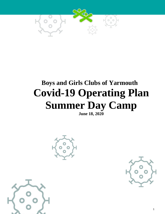

# **Boys and Girls Clubs of Yarmouth Covid-19 Operating Plan Summer Day Camp**

**June 18, 2020**





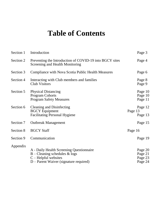## **Table of Contents**

| Section 1 | Introduction                                                                                                                                      | Page 3                                   |
|-----------|---------------------------------------------------------------------------------------------------------------------------------------------------|------------------------------------------|
| Section 2 | Preventing the Introduction of COVID-19 into BGCY sites<br>Screening and Health Monitoring                                                        | Page 4                                   |
| Section 3 | Compliance with Nova Scotia Public Health Measures                                                                                                | Page 6                                   |
| Section 4 | Interacting with Club members and families<br><b>Club Visitors</b>                                                                                | Page 8<br>Page 9                         |
| Section 5 | <b>Physical Distancing</b><br><b>Program Cohorts</b><br><b>Program Safety Measures</b>                                                            | Page 10<br>Page 10<br>Page 11            |
| Section 6 | <b>Cleaning and Disinfecting</b><br><b>BGCY</b> Equipment<br><b>Facilitating Personal Hygiene</b>                                                 | Page 12<br>Page 13<br>Page 13            |
| Section 7 | <b>Outbreak Management</b>                                                                                                                        | Page 15                                  |
| Section 8 | <b>BGCY Staff</b>                                                                                                                                 | Page 16                                  |
| Section 9 | Communication                                                                                                                                     | Page 19                                  |
| Appendix  | A - Daily Health Screening Questionnaire<br>$B -$ Cleaning schedules & logs<br>$C - Helpful$ websites<br>$D$ – Parent Waiver (signature required) | Page 20<br>Page 21<br>Page 23<br>Page 24 |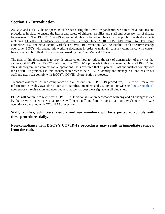### **Section 1 - Introduction**

As Boys and Girls Clubs re-opens its club sites during the Covid-19 pandemic, we aim to have policies and procedures in place to ensure the health and safety of children, families and staff and decrease risk of disease transmission. The BGCY Covid-19 operational plan is based on Nova Scotia public health documents including COVID-19 Guidance for Child Care Settings (June 2020), COVID-19 Return to Day Camp Guidelines (NS) and Nova Scotia Workplace COVID-19 Prevention Plan. As Public Health directives change over time, BGCY will update this working document in order to maintain constant compliance with current Nova Scotia Public Health Directives as issued by the Chief Medical Officer.

The goal of this document is to provide guidance on how to reduce the risk of transmission of the virus that causes COVID-19 in all BGCY club sites. The COVID-19 protocols in this document apply to all BGCY club sites, all program and administrative operations. It is expected that all parents, staff and visitors comply with the COVID-19 protocols in this document in order to help BGCY identify and manage risk and ensure our staff and users can comply with BGCY's COVID-19 prevention protocols.

To ensure awareness of and compliance with all of our new COVID-19 procedures, BGCY will make this information is readily available to our staff, families, members and visitors on our website [\(bgcyarmouth.ca\)](http://www.bgcgh.ca/), upon program registration and upon request, as well as post clear signage at all club sites.

BGCY will continue to revise this COVID 19 Operational Plan in accordance with any and all changes issued by the Province of Nova Scotia. BGCY will keep staff and families up to date on any changes in BGCY operations connected with COVID 19 prevention.

**Staff, families, volunteers, visitors and our members will be expected to comply with these procedures daily.**

**Non-compliance with BGCY's COVID-19 procedures may result in immediate removal from the club.**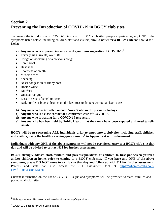### **Section 2 Preventing the Introduction of COVID-19 in BGCY club sites**

To prevent the introduction of COVID-19 into any of BGCY club sites, people experiencing any ONE of the symptoms listed below, including children, staff and visitors, **should not enter a BGCY club** and should selfisolate:

- **a) Anyone who is experiencing any one of symptoms suggestive of COVID-19<sup>1</sup> :**
- Fever (chills, sweats) over 38C
- Cough or worsening of a previous cough
- Sore throat
- Headache
- Shortness of breath
- Muscle aches
- Sneezing
- Nasal congestion or runny nose
- Hoarse voice
- Diarrhea
- Unusual fatigue
- Loss of sense of smell or taste
- Red, purple or blueish lesions on the feet, toes or fingers without a clear cause
- **b) Anyone who has travelled outside Nova Scotia in the previous 14 days,**
- **c) Anyone who is a close contact of a confirmed case of COVID-19,**
- **d) Anyone who is waiting for a COVID-19 test result**
- **e) Anyone who has been told by Public Health that they may have been exposed and need to selfisolate.**

**BGCY will be pre-screening ALL individuals prior to entry into a club site, including staff, children and visitors, using the health screening questionnaire<sup>2</sup> in Appendix A of this document.** 

### **Individuals with any ONE of the above symptoms will not be permitted entry to a BGCY club site that day and will be advised to contact 811 for further assessment.**

**BGCY strongly advises staff, visitors and parents/guardians of children to first pre-screen yourself and/or children at home, prior to coming to a BGCY club site. If you have any ONE of the above symptoms, please DO NOT come to a club site that day and follow up with 811 for further assessment.**  Parents and staff can also access the 811 assessment tool at [https://when-to-call-about](https://when-to-call-about-covid19.novascotia.ca/en)[covid19.novascotia.ca/en.](https://when-to-call-about-covid19.novascotia.ca/en)

Current information on the list of COVID 19 signs and symptoms will be provided to staff, families and posted at all club sites.

 $\overline{a}$ 

 $^{\text{\tiny{\textup{1}}}}$  Webpage: novascotia.ca/coronavirus/when-to-seek-help/#symptoms

<sup>&</sup>lt;sup>2</sup> COVID-19 Guidance for Child Care Settings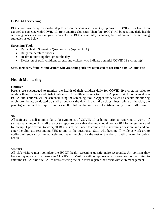#### **COVID-19 Screening**

BGCY will take every reasonable step to prevent persons who exhibit symptoms of COVID-19 or have been exposed to someone with COVID-19, from entering club sites. Therefore, BGCY will be requiring daily health screening measures for everyone who enters a BGCY club site, including, but not limited the screening strategies listed below:

#### **Screening Tools**

- Daily Health Screening Questionnaire (Appendix A)
- Daily temperature checks
- Health monitoring throughout the day
- Exclusion of staff, children, parents and visitors who indicate potential COVID 19 symptom(s)

#### **Staff, members, families and visitors who are feeling sick are requested to not enter a BGCY club site.**

### **Health Monitoring**

#### **Children**

Parents are encouraged to monitor the health of their children daily for COVID-19 symptoms prior to sending them to Boys and Girls Club sites. A health screening tool is in Appendix A. Upon arrival at a BGCY site, children will be screened using the screening tool in Appendix A as well as health monitoring of children being conducted by staff throughout the day. If a child displays illness while at the club, the parent/guardian will be required to pick up the child within one hour of notification by a club staff person.

#### **Staff**

All staff are to self-monitor daily for symptoms of COVID-19 at home, prior to reporting to work. If symptomatic and/or ill, staff are not to report to work that day and should contact 811 for assessment and follow up. Upon arrival to work, all BGCY staff will need to complete the screening questionnaire and not enter the club site responding YES to any of the questions. Staff who become ill while at work are to notify their supervisor immediately and leave the club for the rest of the day or until directed by public health.

#### **Visitors**

All club visitors must complete the BGCY health screening questionnaire (Appendix A), confirm they have no symptoms or exposure to COVID-19. Visitors with symptoms or exposure are not permitted to enter the BGCY club site. All visitors entering the club must register their visit with club management.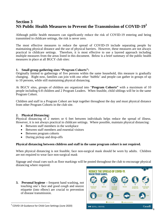### **Section 3 NS Public Health Measures to Prevent the Transmission of COVID-19<sup>3</sup>**

Although public health measures can significantly reduce the risk of COVID-19 entering and being transmitted in childcare settings, the risk is never zero.

The most effective measures to reduce the spread of COVID-19 include separating people by maintaining physical distance and the use of physical barriers. However, these measures are not always practical in childcare settings. Therefore, it is most effective to use a layered approach including multiple measures from the areas listed in this document. Below is a brief summary of the public health measures in place at all BGCY club sites:

#### **1. Small group gathering sizes "Program Cohorts":**

Originally limited to gatherings of five persons within the same household, this measure is gradually changing. Right now, families can join with one other 'bubble' and people can gather in groups of up to 10 persons, while still maintaining physical distancing.

At BGCY sites, groups of children are organized into "**Program Cohorts"** with a maximum of 10 people including 6-8 children and 2 Program Leaders. When feasible, child siblings will be in the same Program Cohort.

Children and staff in a Program Cohort are kept together throughout the day and must physical distance from other Program Cohorts in the club site.

### **2. Physical Distancing:**

Physical distancing of 2 meters or 6 feet between individuals helps reduce the spread of illness. However, it is not always practical in childcare settings. Where possible, maintain physical distancing:

- Between staff members in the workplace
- Between staff members and essential visitors
- Between program cohorts
- During pickup and drop-offs

### **Physical distancing between children and staff in the same program cohort is not required.**

When physical distancing is not feasible, face non-surgical mask should be worn by adults. Children are not required to wear face non-surgical mask

Signage and visual cues such as floor markings will be posted throughout the club to encourage physical distancing where required.

**3. Personal hygiene –** frequent hand washing, not touching one's face and good cough and sneeze etiquette (into elbow) are crucial to prevention of disease transmission.



 3 COVID-19 Guidance for Child Care Settings (June 2020)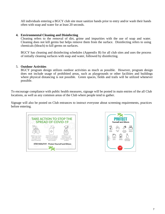All individuals entering a BGCY club site must sanitize hands prior to entry and/or wash their hands often with soap and water for at least 20 seconds.

### **4. Environmental Cleaning and Disinfecting**

Cleaning refers to the removal of dirt, grime and impurities with the use of soap and water. Cleaning does not kill germs but helps remove them from the surface. Disinfecting refers to using chemicals (bleach) to kill germs on surfaces.

BGCY has cleaning and disinfecting schedules (Appendix B) for all club sites and uses the process of initially cleaning surfaces with soap and water, followed by disinfecting.

### 5. **Outdoor Activities**

BGCY program design utilizes outdoor activities as much as possible. However, program design does not include usage of prohibited areas, such as playgrounds or other facilities and buildings where physical distancing is not possible. Green spaces, fields and trails will be utilized whenever possible.

To encourage compliance with public health measures, signage will be posted in main entries of the all Club locations, as well as any common areas of the Club where people tend to gather.

Signage will also be posted on Club entrances to instruct everyone about screening requirements, practices before entering.



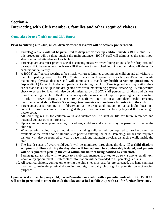### **Section 4 Interacting with Club members, families and other required visitors.**

### **Contactless Drop-off, pick up and Club Entry:**

### **Prior to entering our Club, all children or essential visitors will be actively pre-screened.**

- 1. Parents/guardians **will not be permitted to drop off or pick up children inside** a BGCY club site this procedure will be done outside the main entrance. BGCY staff will administer the sign in/out sheets to record attendance of each child.
- 2. Parents/guardians must practice social distancing measures when lining up outside for drop offs and pickups. If it becomes too much we will then have to set scheduled pick up and drop off times for each individual family.
- **3.** A BGCY staff person wearing a face mask will greet families dropping off children and all visitors in the club parking area. The BGCY staff person will speak with each parent/guardian while maintaining physical distance and will administer a mandatory **health screening questionnaire** (Appendix A) for each child/youth participant entering the club. Parents/guardians may wait in their car or stand in a line up in the designated area while maintaining physical distancing. A temperature check to screen for fever will also be administered by a BGCY staff person for children and visitors prior to entering the club. Health Screening questionnaires do not require a parent/guardian signature in order to prevent sharing of pens. BGCY staff will sign off on all completed health screening questionnaires. **A daily Health Screening Questionnaire is mandatory for entry into the club.**
- 4. Parents/guardians dropping off children/youth at the designated outdoor spot at each club location are not required to complete screening if they are not entering the facility beyond the screening intake point.
- 5. All screening results for children/youth and visitors will be kept on file for future reference and potential contact tracing purposes.
- 6. Upon completion of pre-screening procedures, children and visitors may be permitted to enter the club site.
- 7. When entering a club site, all individuals, including children, will be required to use hand sanitizer available at the front door of all club sites prior to entering the club. Parents/guardians and required visitors will also be required to wear a face mask and maintain physical distancing while inside the club.
- **8.** The health status of every child/youth will be monitored throughout the day**. If a child displays symptoms of illness during the day, they will immediately be comfortably isolated, and parents will be required to pick up the child within one hour of being notified by club staff.**
- 9. Parents/guardians who wish to speak to a club staff member is asked to do so via phone, email, text, Zoom or by appointment. Club contact information will be provided to all parents/guardians.
- 10. All required visitors, contractors entering the club sites must also be pre-screened, use hand sanitizer upon entry, maintain physical distancing and sign the daily club log, for potential contact tracing purposes.

**Upon arrival at the club, any child, parent/guardian or visitor with a potential indicator of COVID 19 will not be permitted to enter the club that day and asked to follow up with 811 for further directions.**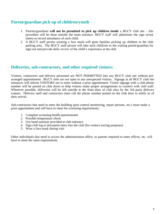### **Parent/guardian pick up of children/youth**

- 1. Parents/guardians **will not be permitted to pick up children inside** a BGCY club site this procedure will be done outside the main entrance. BGCY staff will administer the sign in/out sheets to record attendance of each child.
- 2. A BGCY staff person wearing a face mask will greet families picking up children in the club parking area. The BGCY staff person will take each child/ren to the waiting parent/guardian for sign-out and provide daily review of the child's experience at the club.

### **Deliveries, sub-contractors, and other required visitors:**

Visitors, contractors and delivery personnel are NOT PERMITTED into any BGCY club site without prearranged appointments. BGCY sites are not open to any unexpected visitors. Signage at all BGCY club site entrances will inform VISITORS not to enter without a prior appointment. Visitor signage with a club phone number will be posted on club doors to help visitors make proper arrangements to connect with club staff. Wherever possible, deliveries will be left outside at the front door of club sites by the 3rd party delivery contact. Delivery staff and contractors must call the phone number posted on the club door to notify us of their arrival.

Sub-contractors that need to enter the building (pest control monitoring, repair persons, etc.) must make a prior appointment and will have to meet the screening requirements:

- 1. Complete screening health questionnaire
- 2. Possible temperature check
- 3. Use hand sanitizer provided at club entrance
- 4. Sign club log to document entry into the club (for contact tracing purposes)
- 5. Wear a face mask during visit

Other individuals that need to access the administration office, or parents required to enter offices, etc. will have to meet the same requirements.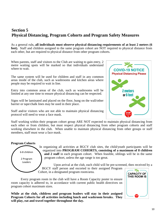### **Section 5 Physical Distancing, Program Cohorts and Program Safety Measures**

As a general rule**, all individuals must observe physical distancing requirements of at least 2 meters (6 feet).** Staff and children assigned to the same program cohort are NOT required to physical distance from each other, but are required to physical distance from other program cohorts.

When parents, staff and visitors to the Club are waiting to gain entry, 2 metre waiting spots will be marked so that individuals understand where to wait.

The same system will be used for children and staff in any common areas inside of the club, such as washrooms and kitchen areas where people may be required to wait in line.

Entry into common areas of the club, such as washrooms will be limited at any one time to ensure physical distancing can be respected.

Signs will be laminated and placed on the floor, hung on the wall/other barrier or tape/chalk lines may be used in their place.

Staff and/or visitors who are not able to maintain physical distancing protocol will need to wear a face mask.



Staff working within their program cohort group ARE NOT expected to maintain physical distancing from each other or from children, but must respect physical distancing from other program cohorts and staff working elsewhere in the club. When unable to maintain physical distancing from other groups or staff members, staff must wear a face mask.

### **Program Cohorts**



In organizing all activities at BGCY club sites, the child/youth participants will be organized into **PROGRAM COHORTS, consisting of a maximum of 8 children and 2 staff** in each program cohort. When feasible, siblings will be in the same program cohort, unless the age range is too great.

Upon arrival at the club, each child will be pre-screened, then received by a BGCY staff person and escorted to their assigned Program

Cohort, in a designated program room/area.

Every program room in the club will have a Room Capacity poster to ensure room capacity is adhered to, in accordance with current public health directives on program cohort maximum sizes.

**While at the club, children and program leaders will stay in their assigned Program Cohorts for all activities including lunch and washroom breaks. They will play, eat and travel together throughout the day.** 

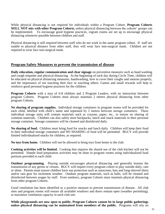While physical distancing is not required for individuals within a Program Cohort, **Program Cohorts WILL NOT mix with other Program Cohorts,** unless physical distancing between the cohorts' groups can be implemented. To encourage good hygiene practices, rogram rooms are set up to encourage physical distancing whenever possible between children and staff.

Physical distancing is still required between staff who do not work in the same program cohort. If staff are unable to physical distance from other staff, they will wear face non-surgical mask. Children are not required to wear face non-surgical mask.

### **Program Safety Measures to prevent the transmission of disease**

**Daily education, regular communication and clear signage** on prevention measures such as hand washing and cough etiquette and physical distancing. At the beginning of each day during Circle Time, children will be educated on physical distancing measures, handwashing, how to cover their coughs and sneezes properly, and the importance of not touching their face or touching others. Games and small rewards will help to reinforce good personal hygiene practices for the children.

**Program Cohorts** with a max of 6-8 children and 2 Program Leaders, with no interaction between program Cohorts. Program Cohorts must always maintain 2 meters physical distancing from other program Cohorts.

**No sharing of program supplies.** Individual storage containers in program rooms will be provided for each child, labelled with child's name and separated by 2 metres between storage containers. These individual storage units will contain materials such as crayons, paper, etc., to ensure no sharing of common materials. Children can also safely store backpacks, lunch and snack materials in their personal storage container. Storage containers will be cleaned and disinfected daily.

**No sharing of food.** Children must bring food for snacks and lunch daily. Children will keep their food in their individual storage containers and NO SHARING of food will be permitted. BGCY will provide limited individualized snacks for children, as required.

**No toys from home.** Children will not be allowed to bring toys from home to the club.

**Cooking activities will be limited.** Cooking that requires the shared use of the club kitchen will not be permitted. Simple food preparation activities may be done in program rooms using individualized food portions provided to each child.

**Outdoor programming**. Playing outside encourages physical distancing and generally lessens the transmission of any germs or viruses. BGCY will require every program cohort to play outside daily, rain or shine. Parents must ensure children have sun protection such as sunscreen, hats and long-sleeved shirts and/or rain gear for inclement weather. Outdoor program materials, such as balls, will be cleaned and disinfected between usages by staff. Even outdoors, program Cohorts must maintain physical distancing from other program Cohorts.

Good ventilation has been identified as a positive measure to prevent transmission of disease. All club sites and program rooms will ensure all available windows and doors remain open (weather permitting), to maximize ventilation capacity in each club site.

**While playgrounds are now open to public, Program Cohorts cannot be in large public gatherings unless physical distancing can be maintained from members of the public.** Programs will rely on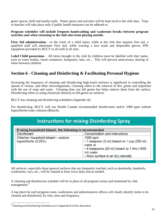green spaces, field and nearby trails. Water sports and activities will be kept local to the club sites. Trips to beaches will take place only if public health measures can be adhered to.

#### **Program schedules will include frequent handwashing and washroom breaks between program activities and when returning to the club sites from playing outside.**

**First Aid administration** - in the event of a child injury while at the club that requires first aid, a qualified staff will administer First Aid, while wearing a face mask and disposable gloves; PPE equipment provided by BGCY to all staff at all sites.

**Label Child possessions** – All items brought to the club by children must be labelled with their name, such as water bottles, lunch containers, backpacks, hats, etc… This will prevent unnecessary sharing of items between children.

### **Section 6 - Cleaning and Disinfecting & Facilitating Personal Hygiene**

Increasing the frequency of cleaning and disinfecting high-touch surfaces is significant in controlling the spread of viruses, and other microorganisms. Cleaning refers to the removal of dirt, grime and impurities with the use of soap and water. Cleaning does not kill germs but helps remove them from the surface. Disinfecting refers to using chemicals (bleach) to kill germs on surfaces.

BGCY has cleaning and disinfecting schedules (Appendix B)

For disinfecting, BGCY will use Health Canada recommended disinfectants and/or 1000 ppm sodium hypochlorite/water solution (Bleach).

### **Instructions for mixing Disinfecting Spray**

| If using household bleach, the following is recommended     |                                                                                                                                                                              |  |  |  |  |  |  |
|-------------------------------------------------------------|------------------------------------------------------------------------------------------------------------------------------------------------------------------------------|--|--|--|--|--|--|
| <b>Disinfectant</b>                                         | Concentration and Instructions                                                                                                                                               |  |  |  |  |  |  |
| Chlorine: household bleach - sodium<br>hypochlorite (5.25%) | $1000$ ppm<br>• 1 teaspoon (5 ml) bleach to 1 cup (250 ml)<br>water or<br>• 4 teaspoons (20 ml) bleach to 1 litre (1000<br>ml) water<br>• Allow surface to air dry naturally |  |  |  |  |  |  |

All surfaces, especially those general surfaces that are frequently touched, such as doorknobs, handrails, washrooms, toys, etc., will be cleaned at least twice daily and as needed.

A cleaning and disinfection schedule will be in place in all program rooms and monitored by club management.<sup>4</sup>

A log sheet for each program room, washrooms and administrative offices will clearly identify items to be cleaned and disinfected, by who, time and frequency.

 4 Cleaning and Disinfecting Schedules are in Appendix B of this document.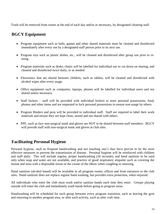Trash will be removed from rooms at the end of each day and/or as necessary, by designated cleaning staff.

### **BGCY Equipment**

- Program equipment such as balls, games and other shared materials must be cleaned and disinfected immediately after every use by a designated staff person prior to its next use.
- Program toys such as plastic dishes, etc., will be cleaned and disinfected after group use prior to reusing.
- Program materials such as desks, chairs will be labelled for individual use to cut down on sharing, and cleaned and disinfected twice daily, or as needed.
- Electronics that are shared between children, such as tablets, will be cleaned and disinfected with alcohol wipes after every usage.
- Office equipment such as computers, laptops, phones will be labelled for individual users and not shared unless necessary.
- Staff lockers staff will be provided with individual lockers to store personal possessions, food, phones and other items and are requested to lock personal possessions to ensure non-usage by others.
- Program Binders and pens will be provided to individual staff. Staff are required to label their work materials and ensure they are kept clean, stored and not shared with others.
- PPE, such as face non-surgical mask and gloves are NOT to be shared between staff members. BGCY will provide staff with non-surgical mask and gloves at club sites.

### **Facilitating Personal Hygiene**

Personal hygiene, such as frequent handwashing and not touching one's face have proven to be the most effective measures to prevent the transmission of disease. Personal hygiene will be reinforced with children and staff daily. This will include regular, proper handwashing (20 seconds), and hand sanitizer to be used only when soap and water are not available, and practice of good respiratory etiquette such as covering the mount and nose with a disposable tissue or the crease of the elbow when coughing or sneezing.

Hand sanitizer (alcohol based) will be available in all program rooms, offices and front entrances to the club sites. Hand sanitizer does not replace regular hand washing, but provides extra protection, when required.

All individuals who enter the club must wash and/or sanitize hands each time they enter. Groups playing outside will enter the club and immediately wash hands before going to program areas.

Handwashing will be scheduled for each group between every program transition, such as leaving the gym and returning to another program area, or after each activity, such as after craft time.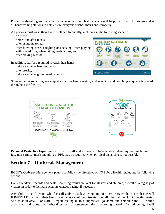Proper handwashing and personal hygiene signs from Health Canada will be posted in all club rooms and at all handwashing stations to help ensure everyone washes their hands properly.

All persons must wash their hands well and frequently, including in the following scenarios:

on arrival; before and after meals; **REDUCE THE SPREAD OF COVID-19.** after using the toilet; **WASH YOUR HANDS** after blowing nose, coughing or sneezing; after playing with shared toys; when taking medications; and after playing outside. In addition, staff are required to wash their hands: before and after handling food;

after breaks;

before and after giving medications

**3**1-833-784-439 O. Agence de la santé<br>
Agency of Canada publique du Canada **Canadä** 

Signage on personal hygiene etiquette such as handwashing; and sneezing and coughing etiquette is posted throughout the facility.





**Personal Protective Equipment (PPE)** for staff and visitors will be available, when required, including face non-surgical mask and gloves. PPE may be required when physical distancing is not possible.

### **Section 7 – Outbreak Management**

BGCY's Outbreak Management plan is to follow the directives of NS Public Health, including the following actions:

Daily attendance records and health screening results are kept for all staff and children, as well as a registry of visitors in order to facilitate accurate contact tracing, if necessary.

Any child or staff person who feels ill and/or displays symptoms of COVID-19 while at a club site will IMMEDIATELY wash their hands, wear a face mask, and isolate from all others at the club in the designated self-isolation area. For staff - report feeling ill to a supervisor, go home and complete the 811 online assessment and follow any further directives for assessment prior to returning to work. A child feeling ill will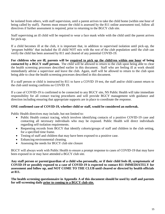be isolated from others, with staff supervision, until a parent arrives to take the child home (within one hour of being called by staff). Parents must ensure the child is assessed by the 811 online assessment tool, follow all directives if further assessment is required, prior to returning to the BGCY club site.

Staff supervising an ill child will be required to wear a face mask while with the child until the parent arrives for pick-up.

If a child becomes ill at the club, it is important that, in addition to supervised isolation until pick-up, the 'program bubble' that included the ill child NOT mix with the rest of the club population until the club can verify the child has been assessed by 811 and cleared of any potential COVID-19.

**For children who are ill, parents will be required to pick up the child/ren within one hour of being contacted by a BGCY staff person.** The child will be allowed to return to the club upon being able to clear the health screening processes described earlier in this document. Staff who are feeling ill at work should immediately advise a supervisor and leave the club. Again, staff will be allowed to return to the club upon being able to clear the health screening processes described in this document.

If a staff person or child is instructed by 811 to have a COVID 19 test, the staff and/or child cannot return to the club until testing confirms no COVID 19.

If a case of COVID-19 is confirmed to be connected to any BGCY site, NS Public Health will take immediate responsibility for all contact tracing procedures and will provide BGCY management with guidance and direction including ensuring that appropriate supports are in place to coordinate the response.

### **ONE confirmed case of COVID-19, whether child or staff, would be considered an outbreak.**

Public Health directives may include, but not limited to:

- Public Health contact tracing, which involves identifying contacts of a positive COVID-19 case and contacting all necessary individuals who may be exposed. Public Health will direct individuals regarding self-isolation requirements.
- Requesting records from BGCY that identify cohorts/groups of staff and children in the club setting, for a specified time frame.
- Testing of staff and children that may have been exposed to a positive case.
- Enhancing environmental cleaning.
- Assessing the needs for BGCY club site closure

BGCY will always work with Public Health to ensure a prompt response to cases of COVID-19 that may have been exposed in or may have attended a BGCY club site.

**Any staff person or parent/guardian of a child who personally, or if their child feels ill, symptomatic of COVID-19 or possibly exposed to a case of COVID-19 is expected to contact 811 IMMEDIATELY for assessment and follow up, and NOT COME TO THE CLUB until cleared or directed by health officials at 811.**

**The health screening questionnaire in Appendix A of this document should be used by staff and parents for self-screening daily prior to coming to a BGCY club site.**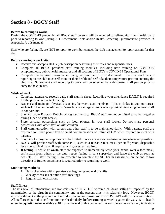### **Section 8 - BGCY Staff**

#### **Before to coming to work:**

During the COVID-19 pandemic, all BGCY staff persons will be required to self-monitor their health daily prior to reporting to work, using 811 Assessment Tools and/or Health Screening Questionnaire provided in Appendix A this manual.

Staff who are feeling ill, are NOT to report to work but contact the club management to report absent for that day.

#### **Before entering a work site:**

- Receive and accept a BGCY job description describing their roles and responsibilities.
- Complete all BGCY provided staff training modules, including new training on COVID-19 symptomology, public health measures and all sections of BGCY's COVID-19 Operational Plan
- Complete the required pre-screened daily, as described in this document. The first staff person reporting to the club must self-monitor their health and self-take their temperature prior to entering the club site. Subsequent staff reporting to work will be screened by a designated staff person prior to entry to the club site.

#### **While at work:**

- 1. Complete attendance records daily staff sign-in sheet. Recording your attendance DAILY is required for the purpose of contact tracing,
- 2. Respect and maintain physical distancing between staff members. This includes in common areas such as kitchen and washrooms. Wear face non-surgical mask when physical distancing between staff is not possible.
- 3. Stay with your Program Bubble throughout the day. BGCY staff are not permitted to gather together during lunch or staff breaks.
- 4. Store personal possessions such as food, phones, in your staff locker. Do not share personal possessions with other staff or with children.
- 5. Staff communication with parents and other staff is to be maintained daily. With parents, staff are expected to utilize phone text or email communication or utilize ZOOM when required to meet with parents.
- 6. Shopping for program supplies is to be limited to once a week and ordering online whenever possible.
- 7. BGCY will provide staff with some PPE, such as a reusable face mask per staff person, disposable face non surgical mask, if required and gloves, as required.
- 8. **If feeling ill while at work,** staff are expected to immediately wash your hands, wear a face mask, self-isolate from others at the club, report feeling ill to a supervisor and leave the club as soon as possible. All staff feeling ill are expected to complete the 811 health assessment online and follow directions if further assessment is required prior to returning to work.

#### **Monitoring Methods**

- 1. Daily check-ins with supervisors at beginning and end of shifts
- 2. Weekly check-ins at online staff meetings
- 3. Regular staff evaluations

### **Staff Illness:**

The risk level of introduction and transmission of COVID-19 within a childcare setting is impacted by the transmission of the virus in the community, and at the present time, it is relatively low. However, BGCY musts be diligent in the prevention of introduction and/or transmission of COVID-19 within our organization. All staff are expected to self-monitor their health daily, **before coming to work**, against the COVID-19 health screening questionnaire available at 811 or at the end of this document. A staff person who has any indication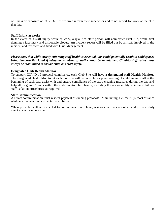of illness or exposure of COVID-19 is required inform their supervisor and to not report for work at the club that day.

#### **Staff Injury at work:**

In the event of a staff injury while at work, a qualified staff person will administer First Aid, while first donning a face mask and disposable gloves. An incident report will be filled out by all staff involved in the incident and reviewed and filed with Club Management

*Please note, that while strictly enforcing staff health is essential, this could potentially result in child spaces being temporarily closed if adequate numbers of staff cannot be maintained. Child-to-staff ratios must always be maintained to ensure child and staff safety.*

#### **Designated Club Health Monitor:**

To support COVID-19 protocol compliance, each Club Site will have a **designated staff Health Monitor.**  The designated Health Monitor at each club site will responsible for pre-screening of children and staff at the beginning of each day, assist with and ensure compliance of the extra cleaning measures during the day and help all program Cohorts within the club monitor child health, including the responsibility to initiate child or staff isolation procedures, as required.

#### **Staff Communication**

All staff communication must respect physical distancing protocols. Maintaining a 2- meter (6 foot) distance while in conversation is expected at all times.

When possible, staff are expected to communicate via phone, text or email to each other and provide daily check-ins with supervisors.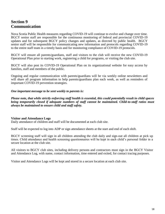### **Section 9 Communication**

Nova Scotia Public Health measures regarding COVID-19 will continue to evolve and change over time. BGCY senior staff are responsible for the continuous monitoring of federal and provincial COVID-19 updates and for subsequent BGCY policy changes and updates, as directed by public health. BGCY senior staff will be responsible for communicating new information and protocols regarding COVID-19 to the entire staff team in a timely basis and for monitoring compliance of COVID-19 protocols.

BGCY will ensure all parents/guardians, staff and visitors to the club will receive the new COVID-19 Operational Plan prior to starting work, registering a child for programs, or visiting the club site.

BGCY will also post its COVID-19 Operational Plan on its organizational website for easy access by families, staff and members of the public.

Ongoing and regular communication with parents/guardians will be via weekly online newsletters and will share all program information to help parents/guardians plan each week, as well as reminders of important COVID-19 prevention strategies.

#### *One important message to be sent weekly to parents is:*

*Please note, that while strictly enforcing staff health is essential, this could potentially result in child spaces being temporarily closed if adequate numbers of staff cannot be maintained. Child-to-staff ratios must always be maintained to ensure child and staff safety.*

#### **Visitor and Attendance Logs**

Daily attendance of children and staff will be documented at each club site.

Staff will be expected to log into ADP or sign attendance sheets at the start and end of each shift.

BGCY screening staff will sign in all children attending the club daily and sign-out all children at pick up times. Child attendance and health screening questionnaires will be kept in each child's personal folder in a secure location at the club site.

All visitors to BGCY club sites, including delivery persons and contractors must sign in the BGCY Visitor and Attendance Log, with name, contact information, time entered and exited, for contact tracing purposes.

Visitor and Attendance Logs will be kept and stored in a secure location at each club site.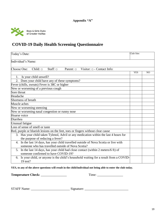

### **COVID-19 Daily Health Screening Questionnaire**

| Today's Date:                                                                                                                             | Club Site: |                |
|-------------------------------------------------------------------------------------------------------------------------------------------|------------|----------------|
| Individual's Name:                                                                                                                        |            |                |
| Child: $\square$<br>Staff: $\square$<br>Choose One:<br>Visitor: $\Box$ - Contact Info:<br>Parent: □                                       |            |                |
|                                                                                                                                           | <b>YES</b> | N <sub>O</sub> |
| Is your child unwell?<br>1.                                                                                                               |            |                |
| 2. Does your child have any of these symptoms?                                                                                            |            |                |
| Fever (chills, sweats) Fever is 38C or higher                                                                                             |            |                |
| New or worsening of a previous cough                                                                                                      |            |                |
| Sore throat                                                                                                                               |            |                |
| Headache                                                                                                                                  |            |                |
| Shortness of breath                                                                                                                       |            |                |
| Muscle aches                                                                                                                              |            |                |
| New or worsening sneezing                                                                                                                 |            |                |
| New or worsening nasal congestion or runny nose                                                                                           |            |                |
| Hoarse voice                                                                                                                              |            |                |
| Diarrhea                                                                                                                                  |            |                |
| Unusual fatigue                                                                                                                           |            |                |
| Loss of sense of smell or taste                                                                                                           |            |                |
| Red, purple or blueish lesions on the feet, toes or fingers without clear cause                                                           |            |                |
| 3. Has your child taken Tylenol, Advil or any medication within the last 4 hours for<br>the purpose of reducing a fever?                  |            |                |
| 4. In the last 14 days, has your child travelled outside of Nova Scotia or live with<br>someone who has travelled outside of Nova Scotia? |            |                |
| 5. In the last 14 days, has your child had close contact (within 2 meters/6 ft) of<br>someone confirmed to have COVID-19?                 |            |                |
| 6. Is your child, or anyone is the child's household waiting for a result from a COVID-<br>$19$ test?                                     |            |                |

**YES, to any of the above questions will result in the child/individual not being able to enter the club today.**

**Temperature Check:** \_\_\_\_\_\_\_\_\_\_\_\_\_\_\_\_ Time: \_\_\_\_\_\_\_\_\_\_\_\_\_\_\_\_

 $STAFF Name:$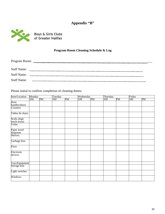### **Appendix "B"**



Boys & Girls Clubs<br>of Greater Halifax

### **Program Room Cleaning Schedule & Log**

| Program Room: ______ |                                                                                                                       |  |
|----------------------|-----------------------------------------------------------------------------------------------------------------------|--|
|                      |                                                                                                                       |  |
| <b>Staff Name:</b>   |                                                                                                                       |  |
| <b>Staff Name:</b>   | <u> 1980 - Jan Samuel Barbara, martin a shekara 1980 - An tsara 1980 - An tsara 1980 - An tsara 1980 - An tsara 1</u> |  |
| <b>Staff Name:</b>   |                                                                                                                       |  |

Please initial to confirm completion of cleaning duties:

| Item/Location                       | Monday |    |    | Tuesday |    | Wednesday |    | Thursday |    | Friday |  |
|-------------------------------------|--------|----|----|---------|----|-----------|----|----------|----|--------|--|
|                                     | AM     | PM | AM | PM      | AM | PM        | AM | PM       | AM | PM     |  |
| Door                                |        |    |    |         |    |           |    |          |    |        |  |
| handles/doors                       |        |    |    |         |    |           |    |          |    |        |  |
| Counters                            |        |    |    |         |    |           |    |          |    |        |  |
| Tables & chairs                     |        |    |    |         |    |           |    |          |    |        |  |
| Walls (high                         |        |    |    |         |    |           |    |          |    |        |  |
| touch areas)                        |        |    |    |         |    |           |    |          |    |        |  |
| Toilet                              |        |    |    |         |    |           |    |          |    |        |  |
| Paper towel<br>dispenser<br>Shelves |        |    |    |         |    |           |    |          |    |        |  |
|                                     |        |    |    |         |    |           |    |          |    |        |  |
| Garbage bins                        |        |    |    |         |    |           |    |          |    |        |  |
| Floor                               |        |    |    |         |    |           |    |          |    |        |  |
| Electronic<br>devices               |        |    |    |         |    |           |    |          |    |        |  |
| Toys/Equipment                      |        |    |    |         |    |           |    |          |    |        |  |
| Storage bins                        |        |    |    |         |    |           |    |          |    |        |  |
| Light switches                      |        |    |    |         |    |           |    |          |    |        |  |
| Windows                             |        |    |    |         |    |           |    |          |    |        |  |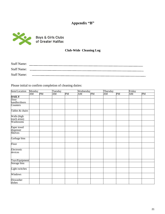### **Appendix "B"**



### **Club-Wide Cleaning Log**

| <b>Staff Name:</b> |  |
|--------------------|--|
| <b>Staff Name:</b> |  |
| <b>Staff Name:</b> |  |

Please initial to confirm completion of cleaning duties:

| Item/Location                       | Monday |    | Tuesday |    | Wednesday |    | Thursday |    | Friday |    |
|-------------------------------------|--------|----|---------|----|-----------|----|----------|----|--------|----|
|                                     | AM     | PM | AM      | PM | AM        | PM | AM       | PM | AM     | PM |
| <b>DAILY</b>                        |        |    |         |    |           |    |          |    |        |    |
| Door                                |        |    |         |    |           |    |          |    |        |    |
| handles/doors                       |        |    |         |    |           |    |          |    |        |    |
| Counters                            |        |    |         |    |           |    |          |    |        |    |
| Tables & chairs                     |        |    |         |    |           |    |          |    |        |    |
| Walls (high                         |        |    |         |    |           |    |          |    |        |    |
|                                     |        |    |         |    |           |    |          |    |        |    |
| touch areas)<br>Washrooms           |        |    |         |    |           |    |          |    |        |    |
| Paper towel<br>dispenser<br>Shelves |        |    |         |    |           |    |          |    |        |    |
|                                     |        |    |         |    |           |    |          |    |        |    |
|                                     |        |    |         |    |           |    |          |    |        |    |
| Garbage bins                        |        |    |         |    |           |    |          |    |        |    |
| Floor                               |        |    |         |    |           |    |          |    |        |    |
| Electronic                          |        |    |         |    |           |    |          |    |        |    |
| devices                             |        |    |         |    |           |    |          |    |        |    |
|                                     |        |    |         |    |           |    |          |    |        |    |
| Toys/Equipment                      |        |    |         |    |           |    |          |    |        |    |
| Storage bins                        |        |    |         |    |           |    |          |    |        |    |
| Light switches                      |        |    |         |    |           |    |          |    |        |    |
| Windows                             |        |    |         |    |           |    |          |    |        |    |
| Diswasher                           |        |    |         |    |           |    |          |    |        |    |
| dishes                              |        |    |         |    |           |    |          |    |        |    |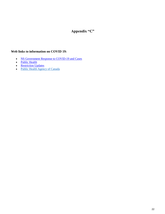### **Appendix "C"**

### **Web links to information on COVID 19:**

- [NS Government Response to COVID-19 and Cases](https://novascotia.ca/coronavirus/)
- [Public Health](https://novascotia.ca/dhw/publichealth/)
- [Restriction Updates](https://novascotia.ca/coronavirus/restriction-updates/)
- [Public Health Agency of Canada](http://www.phac-aspc.gc.ca/)